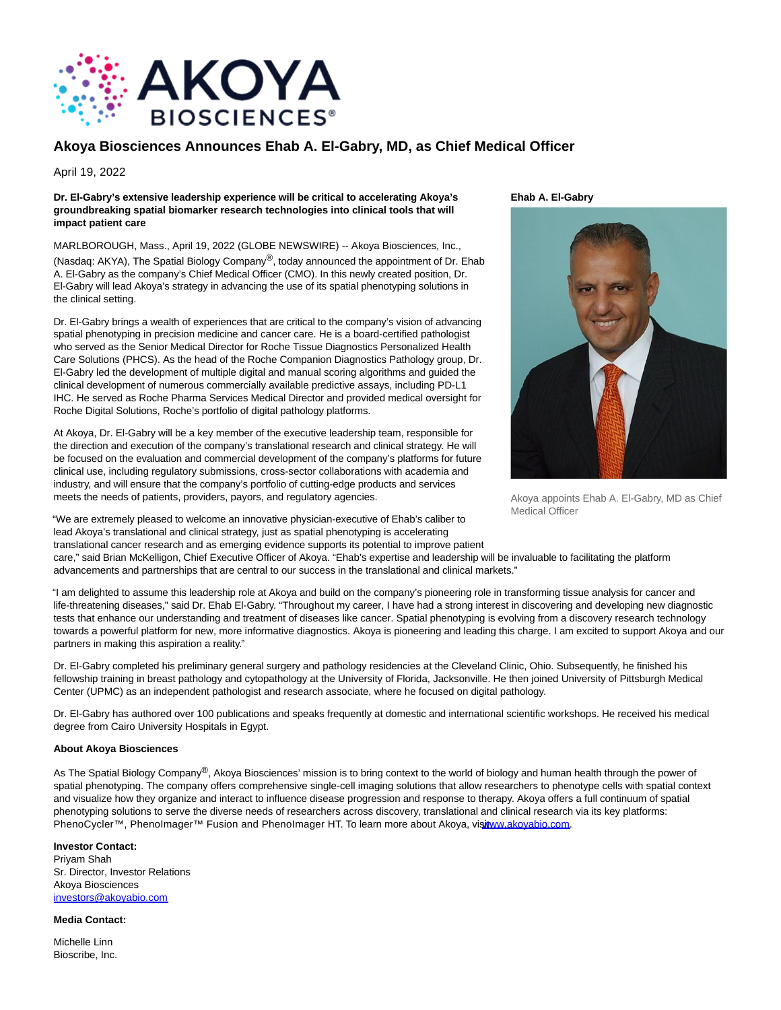

## **Akoya Biosciences Announces Ehab A. El-Gabry, MD, as Chief Medical Officer**

April 19, 2022

## **Dr. El-Gabry's extensive leadership experience will be critical to accelerating Akoya's groundbreaking spatial biomarker research technologies into clinical tools that will impact patient care**

MARLBOROUGH, Mass., April 19, 2022 (GLOBE NEWSWIRE) -- Akoya Biosciences, Inc., (Nasdaq: AKYA), The Spatial Biology Company®, today announced the appointment of Dr. Ehab A. El-Gabry as the company's Chief Medical Officer (CMO). In this newly created position, Dr. El-Gabry will lead Akoya's strategy in advancing the use of its spatial phenotyping solutions in the clinical setting.

Dr. El-Gabry brings a wealth of experiences that are critical to the company's vision of advancing spatial phenotyping in precision medicine and cancer care. He is a board-certified pathologist who served as the Senior Medical Director for Roche Tissue Diagnostics Personalized Health Care Solutions (PHCS). As the head of the Roche Companion Diagnostics Pathology group, Dr. El-Gabry led the development of multiple digital and manual scoring algorithms and guided the clinical development of numerous commercially available predictive assays, including PD-L1 IHC. He served as Roche Pharma Services Medical Director and provided medical oversight for Roche Digital Solutions, Roche's portfolio of digital pathology platforms.

At Akoya, Dr. El-Gabry will be a key member of the executive leadership team, responsible for the direction and execution of the company's translational research and clinical strategy. He will be focused on the evaluation and commercial development of the company's platforms for future clinical use, including regulatory submissions, cross-sector collaborations with academia and industry, and will ensure that the company's portfolio of cutting-edge products and services meets the needs of patients, providers, payors, and regulatory agencies.

"We are extremely pleased to welcome an innovative physician-executive of Ehab's caliber to lead Akoya's translational and clinical strategy, just as spatial phenotyping is accelerating translational cancer research and as emerging evidence supports its potential to improve patient **Ehab A. El-Gabry**



Akoya appoints Ehab A. El-Gabry, MD as Chief Medical Officer

care," said Brian McKelligon, Chief Executive Officer of Akoya. "Ehab's expertise and leadership will be invaluable to facilitating the platform advancements and partnerships that are central to our success in the translational and clinical markets."

"I am delighted to assume this leadership role at Akoya and build on the company's pioneering role in transforming tissue analysis for cancer and life-threatening diseases," said Dr. Ehab El-Gabry. "Throughout my career, I have had a strong interest in discovering and developing new diagnostic tests that enhance our understanding and treatment of diseases like cancer. Spatial phenotyping is evolving from a discovery research technology towards a powerful platform for new, more informative diagnostics. Akoya is pioneering and leading this charge. I am excited to support Akoya and our partners in making this aspiration a reality."

Dr. El-Gabry completed his preliminary general surgery and pathology residencies at the Cleveland Clinic, Ohio. Subsequently, he finished his fellowship training in breast pathology and cytopathology at the University of Florida, Jacksonville. He then joined University of Pittsburgh Medical Center (UPMC) as an independent pathologist and research associate, where he focused on digital pathology.

Dr. El-Gabry has authored over 100 publications and speaks frequently at domestic and international scientific workshops. He received his medical degree from Cairo University Hospitals in Egypt.

## **About Akoya Biosciences**

As The Spatial Biology Company®, Akoya Biosciences' mission is to bring context to the world of biology and human health through the power of spatial phenotyping. The company offers comprehensive single-cell imaging solutions that allow researchers to phenotype cells with spatial context and visualize how they organize and interact to influence disease progression and response to therapy. Akoya offers a full continuum of spatial phenotyping solutions to serve the diverse needs of researchers across discovery, translational and clinical research via its key platforms: PhenoCycler™, PhenoImager™ Fusion and PhenoImager HT. To learn more about Akoya, visitww.akoyabio.com.

## **Investor Contact:**

Priyam Shah Sr. Director, Investor Relations Akoya Bioscience[s](https://www.globenewswire.com/Tracker?data=X0UPeTrrwZEOlZyp4cGxH-PbLWaYywnLOdZxDxRyyLDAnKtkdq4JDitbSfioyxh5UnUJfrPR5kc94IlubgzsHA==) [investors@akoyabio.com](https://www.globenewswire.com/Tracker?data=Szv8LkZQ13qJEHl5ZFD3INRhmCj3bmv34sJHOMnpZ_s8ItmKggTKuMIZMX1Glp_IHpICEv_MWyf9AM-mHoIZ1i65pmtqy4ZT37hLejMzNzw=)

**Media Contact:**

Michelle Linn Bioscribe, Inc.